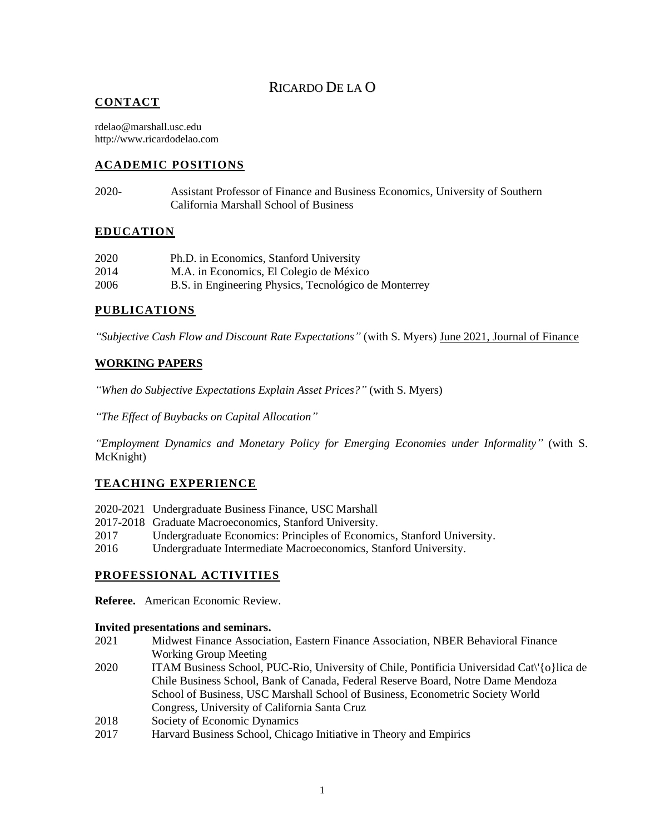# RICARDO DE LA O

### **CONTACT**

rdelao@marshall.usc.edu http://www.ricardodelao.com

# **ACADEMIC POSITIONS**

2020- Assistant Professor of Finance and Business Economics, University of Southern California Marshall School of Business

### **EDUCATION**

| 2020 | Ph.D. in Economics, Stanford University               |
|------|-------------------------------------------------------|
| 2014 | M.A. in Economics, El Colegio de México               |
| 2006 | B.S. in Engineering Physics, Tecnológico de Monterrey |

### **PUBLICATIONS**

*"Subjective Cash Flow and Discount Rate Expectations"* (with S. Myers) June 2021, Journal of Finance

### **WORKING PAPERS**

*"When do Subjective Expectations Explain Asset Prices?"* (with S. Myers)

*"The Effect of Buybacks on Capital Allocation"*

*"Employment Dynamics and Monetary Policy for Emerging Economies under Informality"* (with S. McKnight)

# **TEACHING EXPERIENCE**

- 2020-2021 Undergraduate Business Finance, USC Marshall
- 2017-2018 Graduate Macroeconomics, Stanford University.
- 2017 Undergraduate Economics: Principles of Economics, Stanford University.
- 2016 Undergraduate Intermediate Macroeconomics, Stanford University.

### **PROFESSIONAL ACTIVITIES**

**Referee.** American Economic Review.

#### **Invited presentations and seminars.**

- 2021 Midwest Finance Association, Eastern Finance Association, NBER Behavioral Finance Working Group Meeting
- 2020 ITAM Business School, PUC-Rio, University of Chile, Pontificia Universidad Cat\'{o}lica de Chile Business School, Bank of Canada, Federal Reserve Board, Notre Dame Mendoza School of Business, USC Marshall School of Business, Econometric Society World Congress, University of California Santa Cruz
- 2018 Society of Economic Dynamics
- 2017 Harvard Business School, Chicago Initiative in Theory and Empirics